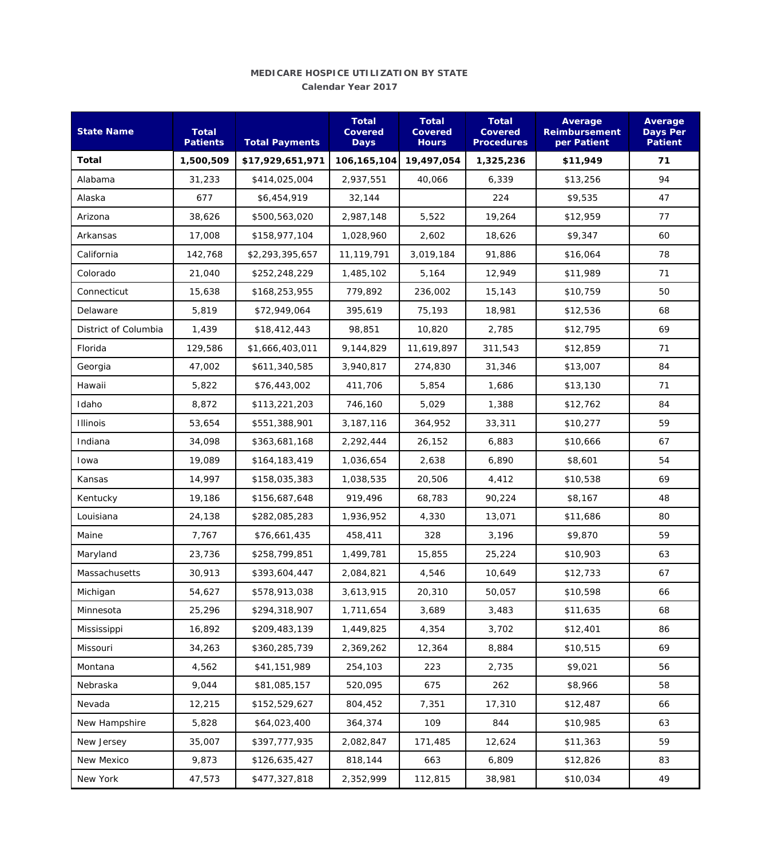## MEDICARE HOSPICE UTILIZATION BY STATE Calendar Year 2017

| <b>State Name</b>    | Total<br><b>Patients</b> | <b>Total Payments</b> | Total<br>Covered<br><b>Days</b> | Total<br>Covered<br><b>Hours</b> | Total<br>Covered<br><b>Procedures</b> | Average<br><b>Reimbursement</b><br>per Patient | <b>Aver:</b><br>Days<br>Patio |
|----------------------|--------------------------|-----------------------|---------------------------------|----------------------------------|---------------------------------------|------------------------------------------------|-------------------------------|
| Total                | 1,500,509                | \$17,929,651,971      | 106,165,104                     | 19,497,054                       | 1,325,236                             | \$11,949                                       | 7                             |
| Alabama              | 31,233                   | \$414,025,004         | 2,937,551                       | 40,066                           | 6,339                                 | \$13,256                                       |                               |
| Alaska               | 677                      | \$6,454,919           | 32,144                          |                                  | 224                                   | \$9,535                                        |                               |
| Arizona              | 38,626                   | \$500,563,020         | 2,987,148                       | 5,522                            | 19.264                                | \$12,959                                       |                               |
| Arkansas             | 17,008                   | \$158,977,104         | 1,028,960                       | 2,602                            | 18,626                                | \$9,347                                        |                               |
| California           | 142,768                  | \$2,293,395,657       | 11,119,791                      | 3,019,184                        | 91,886                                | \$16,064                                       |                               |
| Colorado             | 21,040                   | \$252,248,229         | 1,485,102                       | 5,164                            | 12,949                                | \$11,989                                       |                               |
| Connecticut          | 15,638                   | \$168,253,955         | 779,892                         | 236,002                          | 15,143                                | \$10,759                                       |                               |
| Delaware             | 5,819                    | \$72,949,064          | 395,619                         | 75,193                           | 18,981                                | \$12,536                                       |                               |
| District of Columbia | 1,439                    | \$18,412,443          | 98,851                          | 10,820                           | 2,785                                 | \$12,795                                       |                               |
| Florida              | 129,586                  | \$1,666,403,011       | 9,144,829                       | 11,619,897                       | 311,543                               | \$12,859                                       |                               |
| Georgia              | 47,002                   | \$611,340,585         | 3,940,817                       | 274,830                          | 31,346                                | \$13,007                                       |                               |
| Hawaii               | 5,822                    | \$76,443,002          | 411,706                         | 5,854                            | 1,686                                 | \$13,130                                       |                               |
| Idaho                | 8,872                    | \$113,221,203         | 746,160                         | 5,029                            | 1,388                                 | \$12,762                                       |                               |
| Illinois             | 53,654                   | \$551,388,901         | 3,187,116                       | 364,952                          | 33,311                                | \$10,277                                       |                               |
| Indiana              | 34,098                   | \$363,681,168         | 2,292,444                       | 26,152                           | 6,883                                 | \$10,666                                       |                               |
| lowa                 | 19,089                   | \$164,183,419         | 1,036,654                       | 2,638                            | 6,890                                 | \$8,601                                        |                               |
| Kansas               | 14,997                   | \$158,035,383         | 1,038,535                       | 20,506                           | 4,412                                 | \$10,538                                       |                               |
| Kentucky             | 19,186                   | \$156,687,648         | 919,496                         | 68,783                           | 90,224                                | \$8,167                                        |                               |
| Louisiana            | 24,138                   | \$282,085,283         | 1,936,952                       | 4,330                            | 13,071                                | \$11,686                                       |                               |
| Maine                | 7,767                    | \$76,661,435          | 458,411                         | 328                              | 3,196                                 | \$9,870                                        |                               |
| Maryland             | 23,736                   | \$258,799,851         | 1,499,781                       | 15,855                           | 25,224                                | \$10,903                                       |                               |
| Massachusetts        | 30,913                   | \$393,604,447         | 2,084,821                       | 4,546                            | 10,649                                | \$12,733                                       |                               |
| Michigan             | 54,627                   | \$578,913,038         | 3,613,915                       | 20,310                           | 50,057                                | \$10,598                                       |                               |
| Minnesota            | 25,296                   | \$294,318,907         | 1,711,654                       | 3,689                            | 3,483                                 | \$11,635                                       | 6                             |
| Mississippi          | 16,892                   | \$209,483,139         | 1,449,825                       | 4,354                            | 3,702                                 | \$12,401                                       |                               |
| Missouri             | 34,263                   | \$360,285,739         | 2,369,262                       | 12,364                           | 8,884                                 | \$10,515                                       | 6                             |
| Montana              | 4,562                    | \$41,151,989          | 254,103                         | 223                              | 2,735                                 | \$9,021                                        |                               |
| Nebraska             | 9,044                    | \$81,085,157          | 520,095                         | 675                              | 262                                   | \$8,966                                        |                               |
| Nevada               | 12,215                   | \$152,529,627         | 804,452                         | 7,351                            | 17,310                                | \$12,487                                       |                               |
| New Hampshire        | 5,828                    | \$64,023,400          | 364,374                         | 109                              | 844                                   | \$10,985                                       | 6                             |
| New Jersey           | 35,007                   | \$397,777,935         | 2,082,847                       | 171,485                          | 12,624                                | \$11,363                                       |                               |
| New Mexico           | 9,873                    | \$126,635,427         | 818,144                         | 663                              | 6,809                                 | \$12,826                                       |                               |
| New York             | 47,573                   | \$477,327,818         | 2,352,999                       | 112,815                          | 38,981                                | \$10,034                                       |                               |